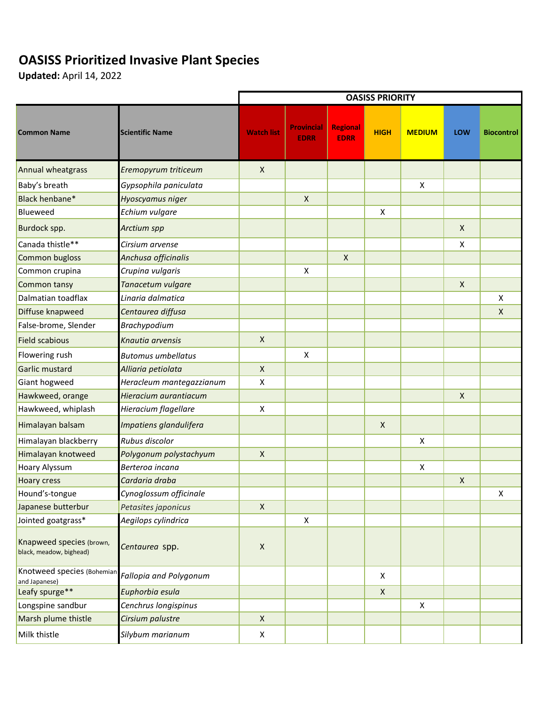## **OASISS Prioritized Invasive Plant Species**

**Updated:** April 14, 2022

|                                                     |                           | <b>OASISS PRIORITY</b> |                                  |                                |             |                |              |                   |
|-----------------------------------------------------|---------------------------|------------------------|----------------------------------|--------------------------------|-------------|----------------|--------------|-------------------|
| <b>Common Name</b>                                  | <b>Scientific Name</b>    | <b>Watch list</b>      | <b>Provincial</b><br><b>EDRR</b> | <b>Regional</b><br><b>EDRR</b> | <b>HIGH</b> | <b>MEDIUM</b>  | <b>LOW</b>   | <b>Biocontrol</b> |
| Annual wheatgrass                                   | Eremopyrum triticeum      | $\pmb{\times}$         |                                  |                                |             |                |              |                   |
| Baby's breath                                       | Gypsophila paniculata     |                        |                                  |                                |             | X              |              |                   |
| Black henbane*                                      | Hyoscyamus niger          |                        | $\pmb{\times}$                   |                                |             |                |              |                   |
| Blueweed                                            | Echium vulgare            |                        |                                  |                                | X           |                |              |                   |
| Burdock spp.                                        | Arctium spp               |                        |                                  |                                |             |                | $\mathsf{X}$ |                   |
| Canada thistle**                                    | Cirsium arvense           |                        |                                  |                                |             |                | X            |                   |
| Common bugloss                                      | Anchusa officinalis       |                        |                                  | $\mathsf{X}$                   |             |                |              |                   |
| Common crupina                                      | Crupina vulgaris          |                        | $\pmb{\mathsf{X}}$               |                                |             |                |              |                   |
| Common tansy                                        | Tanacetum vulgare         |                        |                                  |                                |             |                | $\mathsf{X}$ |                   |
| Dalmatian toadflax                                  | Linaria dalmatica         |                        |                                  |                                |             |                |              | X                 |
| Diffuse knapweed                                    | Centaurea diffusa         |                        |                                  |                                |             |                |              | X                 |
| False-brome, Slender                                | Brachypodium              |                        |                                  |                                |             |                |              |                   |
| <b>Field scabious</b>                               | Knautia arvensis          | $\pmb{\times}$         |                                  |                                |             |                |              |                   |
| Flowering rush                                      | <b>Butomus umbellatus</b> |                        | X                                |                                |             |                |              |                   |
| Garlic mustard                                      | Alliaria petiolata        | $\pmb{\times}$         |                                  |                                |             |                |              |                   |
| Giant hogweed                                       | Heracleum mantegazzianum  | X                      |                                  |                                |             |                |              |                   |
| Hawkweed, orange                                    | Hieracium aurantiacum     |                        |                                  |                                |             |                | X            |                   |
| Hawkweed, whiplash                                  | Hieracium flagellare      | $\pmb{\times}$         |                                  |                                |             |                |              |                   |
| Himalayan balsam                                    | Impatiens glandulifera    |                        |                                  |                                | X           |                |              |                   |
| Himalayan blackberry                                | Rubus discolor            |                        |                                  |                                |             | X              |              |                   |
| Himalayan knotweed                                  | Polygonum polystachyum    | $\pmb{\times}$         |                                  |                                |             |                |              |                   |
| Hoary Alyssum                                       | Berteroa incana           |                        |                                  |                                |             | $\pmb{\times}$ |              |                   |
| <b>Hoary cress</b>                                  | Cardaria draba            |                        |                                  |                                |             |                | $\mathsf{X}$ |                   |
| Hound's-tongue                                      | Cynoglossum officinale    |                        |                                  |                                |             |                |              | X                 |
| Japanese butterbur                                  | Petasites japonicus       | $\mathsf X$            |                                  |                                |             |                |              |                   |
| Jointed goatgrass*                                  | Aegilops cylindrica       |                        | $\mathsf{X}$                     |                                |             |                |              |                   |
| Knapweed species (brown,<br>black, meadow, bighead) | Centaurea spp.            | $\pmb{\mathsf{X}}$     |                                  |                                |             |                |              |                   |
| Knotweed species (Bohemian<br>and Japanese)         | Fallopia and Polygonum    |                        |                                  |                                | X           |                |              |                   |
| Leafy spurge**                                      | Euphorbia esula           |                        |                                  |                                | $\mathsf X$ |                |              |                   |
| Longspine sandbur                                   | Cenchrus longispinus      |                        |                                  |                                |             | $\pmb{\times}$ |              |                   |
| Marsh plume thistle                                 | Cirsium palustre          | $\pmb{\times}$         |                                  |                                |             |                |              |                   |
| Milk thistle                                        | Silybum marianum          | X                      |                                  |                                |             |                |              |                   |